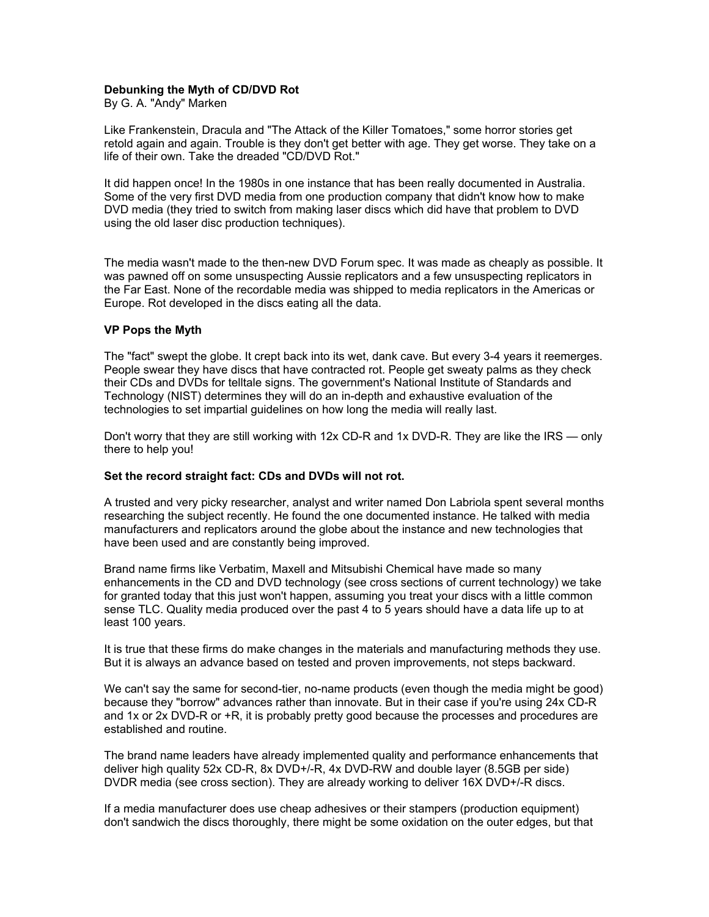## **Debunking the Myth of CD/DVD Rot**

By G. A. "Andy" Marken

Like Frankenstein, Dracula and "The Attack of the Killer Tomatoes," some horror stories get retold again and again. Trouble is they don't get better with age. They get worse. They take on a life of their own. Take the dreaded "CD/DVD Rot."

It did happen once! In the 1980s in one instance that has been really documented in Australia. Some of the very first DVD media from one production company that didn't know how to make DVD media (they tried to switch from making laser discs which did have that problem to DVD using the old laser disc production techniques).

The media wasn't made to the then-new DVD Forum spec. It was made as cheaply as possible. It was pawned off on some unsuspecting Aussie replicators and a few unsuspecting replicators in the Far East. None of the recordable media was shipped to media replicators in the Americas or Europe. Rot developed in the discs eating all the data.

### **VP Pops the Myth**

The "fact" swept the globe. It crept back into its wet, dank cave. But every 3-4 years it reemerges. People swear they have discs that have contracted rot. People get sweaty palms as they check their CDs and DVDs for telltale signs. The government's National Institute of Standards and Technology (NIST) determines they will do an in-depth and exhaustive evaluation of the technologies to set impartial guidelines on how long the media will really last.

Don't worry that they are still working with 12x CD-R and 1x DVD-R. They are like the IRS — only there to help you!

### **Set the record straight fact: CDs and DVDs will not rot.**

A trusted and very picky researcher, analyst and writer named Don Labriola spent several months researching the subject recently. He found the one documented instance. He talked with media manufacturers and replicators around the globe about the instance and new technologies that have been used and are constantly being improved.

Brand name firms like Verbatim, Maxell and Mitsubishi Chemical have made so many enhancements in the CD and DVD technology (see cross sections of current technology) we take for granted today that this just won't happen, assuming you treat your discs with a little common sense TLC. Quality media produced over the past 4 to 5 years should have a data life up to at least 100 years.

It is true that these firms do make changes in the materials and manufacturing methods they use. But it is always an advance based on tested and proven improvements, not steps backward.

We can't say the same for second-tier, no-name products (even though the media might be good) because they "borrow" advances rather than innovate. But in their case if you're using 24x CD-R and 1x or 2x DVD-R or +R, it is probably pretty good because the processes and procedures are established and routine.

The brand name leaders have already implemented quality and performance enhancements that deliver high quality 52x CD-R, 8x DVD+/-R, 4x DVD-RW and double layer (8.5GB per side) DVDR media (see cross section). They are already working to deliver 16X DVD+/-R discs.

If a media manufacturer does use cheap adhesives or their stampers (production equipment) don't sandwich the discs thoroughly, there might be some oxidation on the outer edges, but that